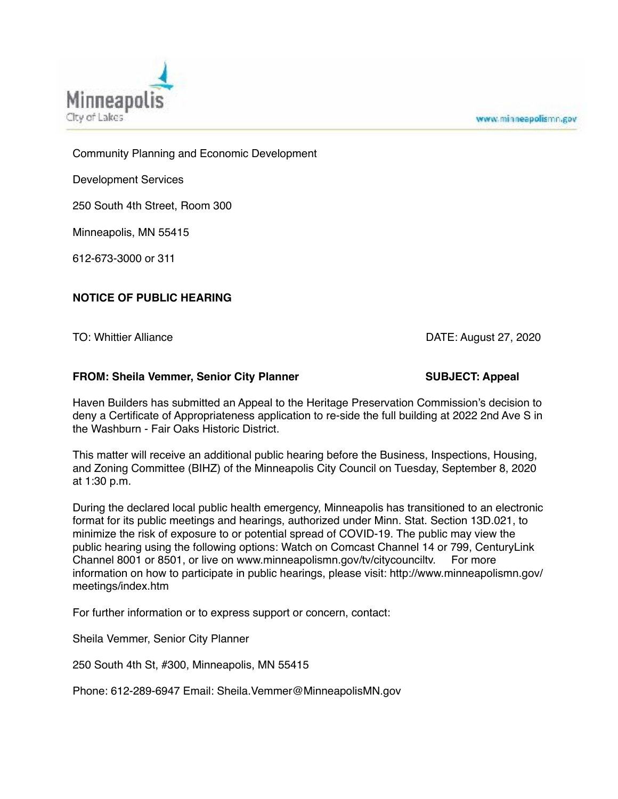



Community Planning and Economic Development

Development Services

250 South 4th Street, Room 300

Minneapolis, MN 55415

612-673-3000 or 311

## **NOTICE OF PUBLIC HEARING**

TO: Whittier Alliance **DATE: August 27, 2020** 

## FROM: Sheila Vemmer, Senior City Planner **SUBJECT: Appeal**

Haven Builders has submitted an Appeal to the Heritage Preservation Commission's decision to deny a Certificate of Appropriateness application to re-side the full building at 2022 2nd Ave S in the Washburn - Fair Oaks Historic District.

This matter will receive an additional public hearing before the Business, Inspections, Housing, and Zoning Committee (BIHZ) of the Minneapolis City Council on Tuesday, September 8, 2020 at 1:30 p.m.

During the declared local public health emergency, Minneapolis has transitioned to an electronic format for its public meetings and hearings, authorized under Minn. Stat. Section 13D.021, to minimize the risk of exposure to or potential spread of COVID-19. The public may view the public hearing using the following options: Watch on Comcast Channel 14 or 799, CenturyLink Channel 8001 or 8501, or live on www.minneapolismn.gov/tv/citycounciltv. For more information on how to participate in public hearings, please visit: http://www.minneapolismn.gov/ meetings/index.htm

For further information or to express support or concern, contact:

Sheila Vemmer, Senior City Planner

250 South 4th St, #300, Minneapolis, MN 55415

Phone: 612-289-6947 Email: Sheila.Vemmer@MinneapolisMN.gov